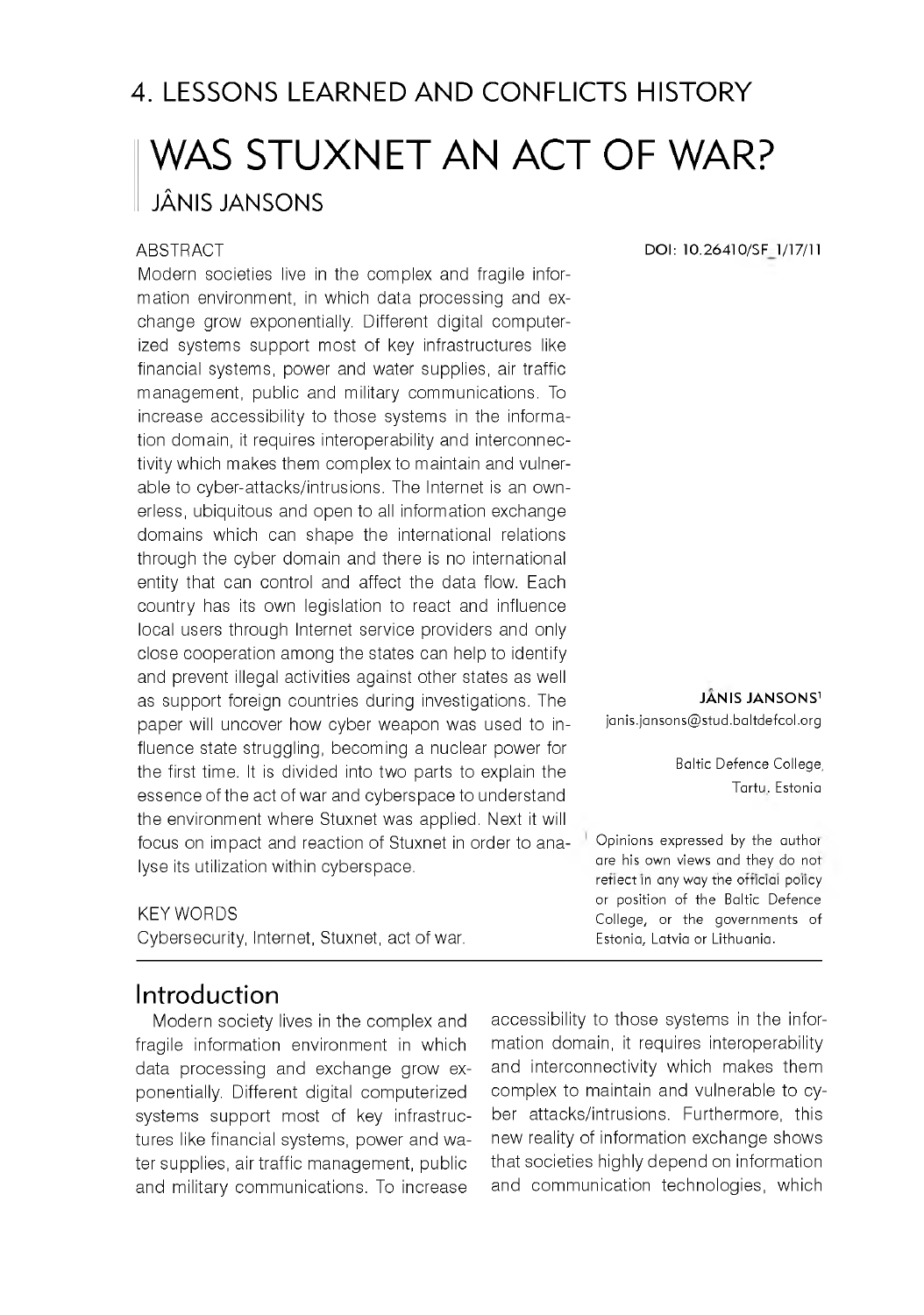# 4. LESSONS LEARNED AND CONFLICTS HISTORY WAS STUXNET AN ACT OF WAR? JÂNIS JANSONS

#### **ABSTRACT**

Modern societies live in the complex and fragile information environment, in which data processing and exchange grow exponentially. Different digital computerized systems support most of key infrastructures like financial systems, power and water supplies, air traffic management, public and military communications. To increase accessibility to those systems in the information domain, it requires interoperability and interconnectivity which makes them complex to maintain and vulnerable to cyber-attacks/intrusions. The Internet is an ownerless, ubiquitous and open to all information exchange domains which can shape the international relations through the cyber domain and there is no international entity that can control and affect the data flow. Each country has its own legislation to react and influence local users through Internet service providers and only close cooperation among the states can help to identify and prevent illegal activities against other states as well as support foreign countries during investigations. The paper will uncover how cyber weapon was used to influence state struggling, becoming a nuclear power for the first time. It is divided into two parts to explain the essence of the act of war and cyberspace to understand the environment where Stuxnet was applied. Next it will focus on impact and reaction of Stuxnet in order to analyse its utilization within cyberspace.

#### KEY WORDS

Cybersecurity, Internet, Stuxnet, act of war.

### Introduction

Modern society lives in the complex and fragile information environment in which data processing and exchange grow exponentially. Different digital computerized systems support most of key infrastructures like financial systems, power and water supplies, air traffic management, public and military communications. To increase

**DOI: 10.26410/SF 1/17/11**

**JANIS JANSONS1** janis.jansons@stud.baltdefcol.org

> Baltic Defence College, Tartu, Estonia

Opinions expressed by the author are his own views and they do not reflect in any way the official policy or position of the Baltic Defence College, or the governments of Estonia, Latvia or Lithuania.

accessibility to those systems in the information domain, it requires interoperability and interconnectivity which makes them complex to maintain and vulnerable to cyber attacks/intrusions. Furthermore, this new reality of information exchange shows that societies highly depend on information and communication technologies, which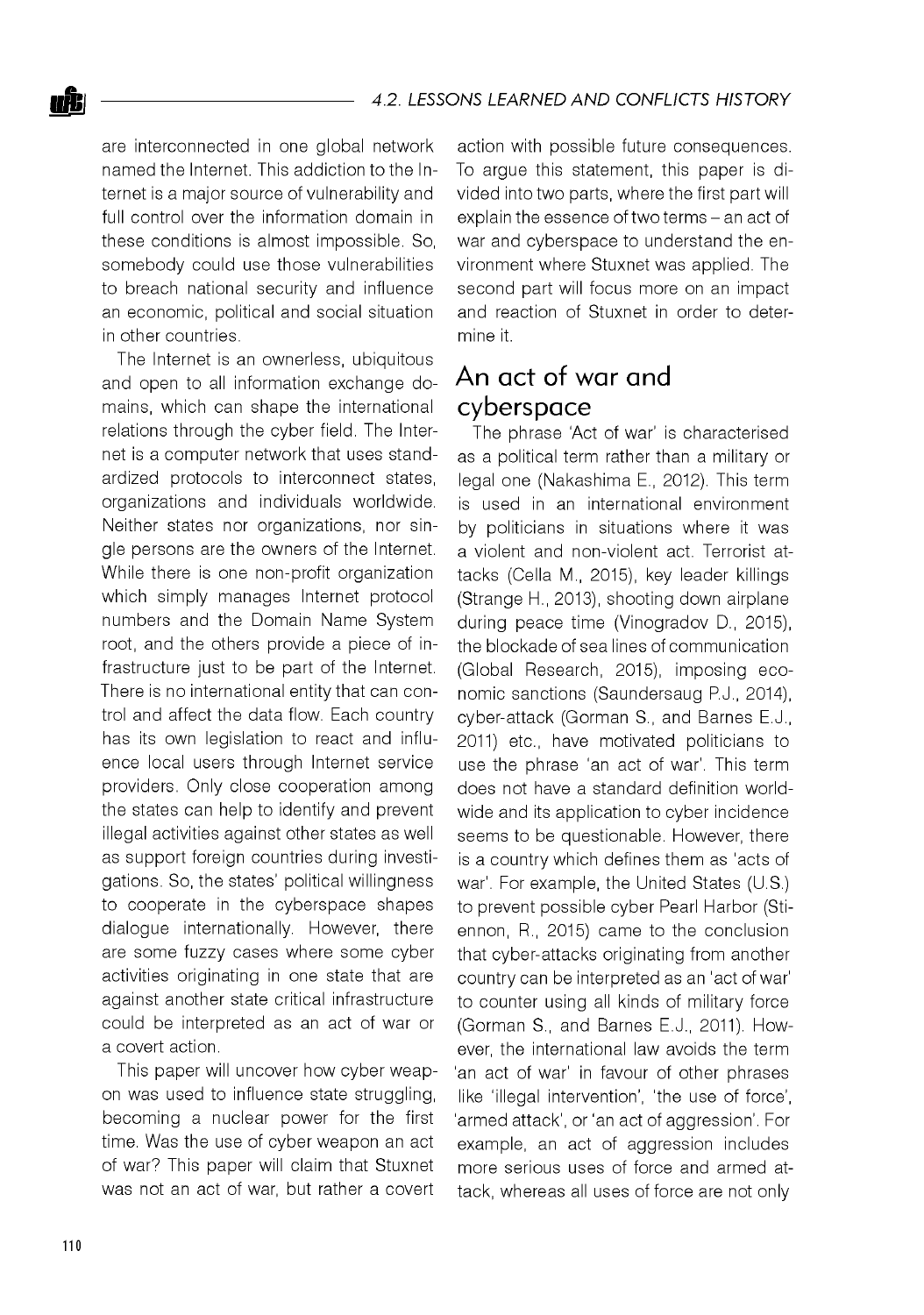are interconnected in one global network named the Internet. This addiction to the Internet is a major source of vulnerability and full control over the information domain in these conditions is almost impossible. So, somebody could use those vulnerabilities to breach national security and influence an economic, political and social situation in other countries.

The Internet is an ownerless, ubiquitous and open to all information exchange domains, which can shape the international relations through the cyber field. The Internet is a computer network that uses standardized protocols to interconnect states, organizations and individuals worldwide. Neither states nor organizations, nor single persons are the owners of the Internet. While there is one non-profit organization which simply manages Internet protocol numbers and the Domain Name System root, and the others provide a piece of infrastructure just to be part of the Internet. There is no international entity that can control and affect the data flow. Each country has its own legislation to react and influence local users through Internet service providers. Only close cooperation among the states can help to identify and prevent illegal activities against other states as well as support foreign countries during investigations. So, the states' political willingness to cooperate in the cyberspace shapes dialogue internationally. However, there are some fuzzy cases where some cyber activities originating in one state that are against another state critical infrastructure could be interpreted as an act of war or a covert action.

This paper will uncover how cyber weapon was used to influence state struggling, becoming a nuclear power for the first time. Was the use of cyber weapon an act of war? This paper will claim that Stuxnet was not an act of war, but rather a covert

action with possible future consequences. To argue this statement, this paper is divided into two parts, where the first part will explain the essence of two terms - an act of war and cyberspace to understand the environment where Stuxnet was applied. The second part will focus more on an impact and reaction of Stuxnet in order to determine it.

## An act of war and cyberspace

The phrase 'Act of war' is characterised as a political term rather than a military or legal one (Nakashima E., 2012). This term is used in an international environment by politicians in situations where it was a violent and non-violent act. Terrorist attacks (Cella M., 2015), key leader killings (Strange H., 2013), shooting down airplane during peace time (Vinogradov D., 2015), the blockade of sea lines of communication (Global Research, 2015), imposing economic sanctions (Saundersaug P.J., 2014), cyber-attack (Gorman S., and Barnes E.J., 2011) etc., have motivated politicians to use the phrase 'an act of war'. This term does not have a standard definition worldwide and its application to cyber incidence seems to be questionable. However, there is a country which defines them as 'acts of war'. For example, the United States (U.S.) to prevent possible cyber Pearl Harbor (Stiennon, R., 2015) came to the conclusion that cyber-attacks originating from another country can be interpreted as an 'act of war' to counter using all kinds of military force (Gorman S., and Barnes E.J., 2011). However, the international law avoids the term 'an act of war' in favour of other phrases like 'illegal intervention', 'the use of force', 'armed attack', or 'an act of aggression'. For example, an act of aggression includes more serious uses of force and armed attack, whereas all uses of force are not only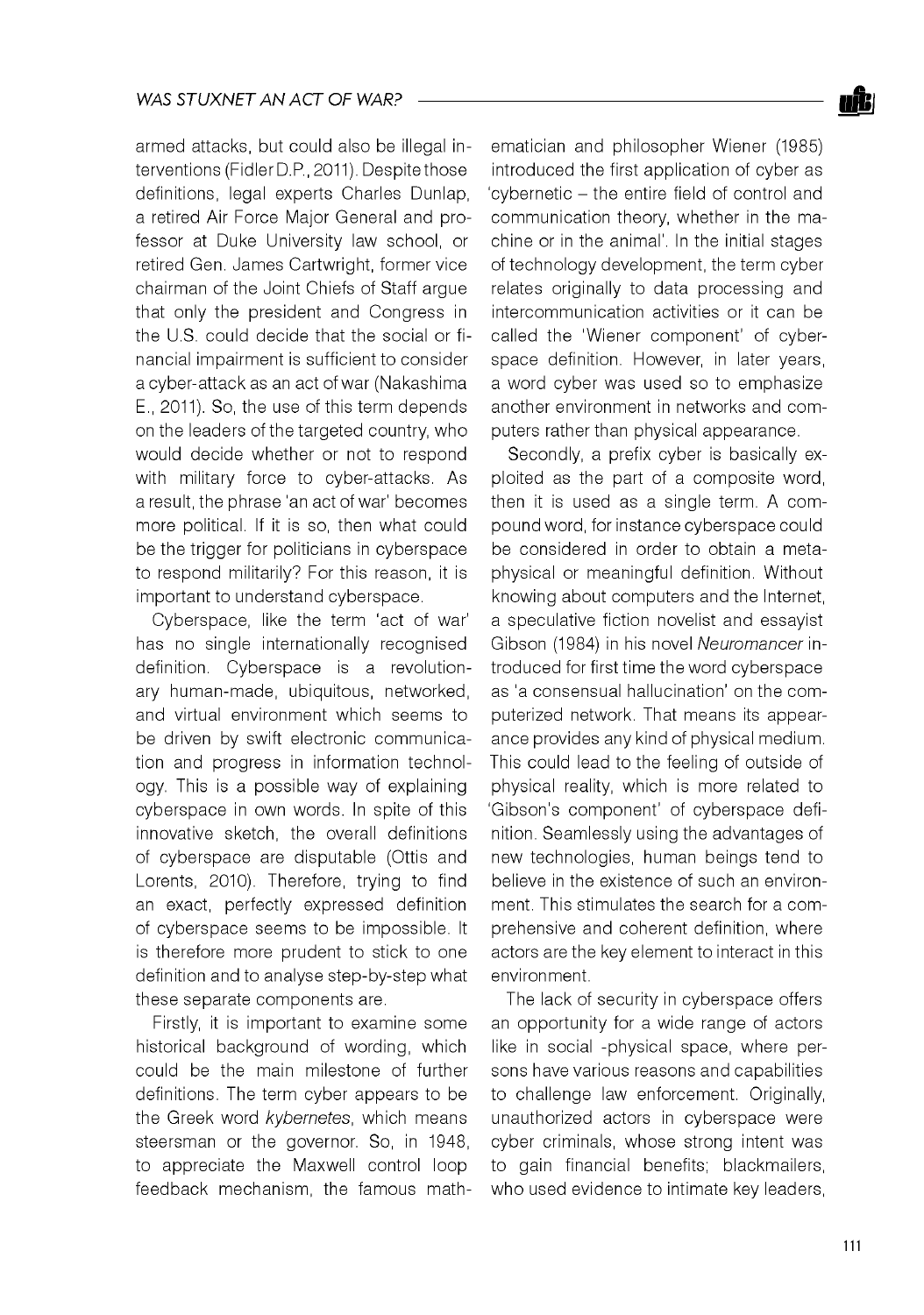armed attacks, but could also be illegal interventions (Fidler D.P, 2011). Despite those definitions, legal experts Charles Dunlap, a retired Air Force Major General and professor at Duke University law school, or retired Gen. James Cartwright, former vice chairman of the Joint Chiefs of Staff argue that only the president and Congress in the U.S. could decide that the social or financial impairment is sufficient to consider a cyber-attack as an act of war (Nakashima E., 2011). So, the use of this term depends on the leaders of the targeted country, who would decide whether or not to respond with military force to cyber-attacks. As a result, the phrase 'an act of war' becomes more political. If it is so, then what could be the trigger for politicians in cyberspace to respond militarily? For this reason, it is important to understand cyberspace.

Cyberspace, like the term 'act of war' has no single internationally recognised definition. Cyberspace is a revolutionary human-made, ubiquitous, networked, and virtual environment which seems to be driven by swift electronic communication and progress in information technology. This is a possible way of explaining cyberspace in own words. In spite of this innovative sketch, the overall definitions of cyberspace are disputable (Ottis and Lorents, 2010). Therefore, trying to find an exact, perfectly expressed definition of cyberspace seems to be impossible. It is therefore more prudent to stick to one definition and to analyse step-by-step what these separate components are.

Firstly, it is important to examine some historical background of wording, which could be the main milestone of further definitions. The term cyber appears to be the Greek word *kybernetes,* which means steersman or the governor. So, in 1948, to appreciate the Maxwell control loop feedback mechanism, the famous math-

ematician and philosopher Wiener (1985) introduced the first application of cyber as 'cybernetic - the entire field of control and communication theory, whether in the machine or in the animal'. In the initial stages of technology development, the term cyber relates originally to data processing and intercommunication activities or it can be called the 'Wiener component' of cyberspace definition. However, in later years, a word cyber was used so to emphasize another environment in networks and computers rather than physical appearance.

Secondly, a prefix cyber is basically exploited as the part of a composite word, then it is used as a single term. A compound word, for instance cyberspace could be considered in order to obtain a metaphysical or meaningful definition. Without knowing about computers and the Internet, a speculative fiction novelist and essayist Gibson (1984) in his novel *Neuromancer* introduced for first time the word cyberspace as 'a consensual hallucination' on the computerized network. That means its appearance provides any kind of physical medium. This could lead to the feeling of outside of physical reality, which is more related to 'Gibson's component' of cyberspace definition. Seamlessly using the advantages of new technologies, human beings tend to believe in the existence of such an environment. This stimulates the search for a comprehensive and coherent definition, where actors are the key element to interact in this environment.

The lack of security in cyberspace offers an opportunity for a wide range of actors like in social -physical space, where persons have various reasons and capabilities to challenge law enforcement. Originally, unauthorized actors in cyberspace were cyber criminals, whose strong intent was to gain financial benefits; blackmailers, who used evidence to intimate key leaders,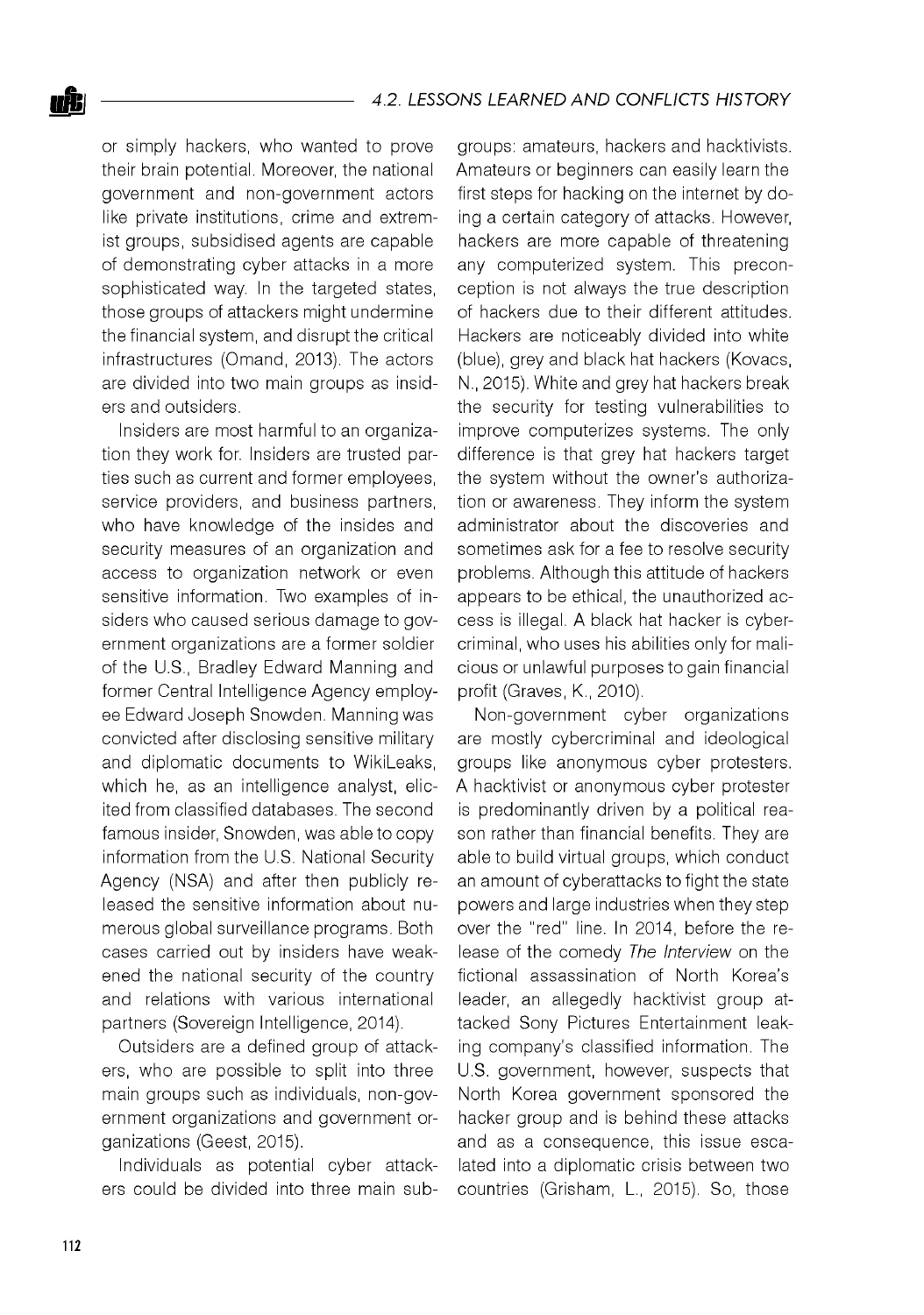or simply hackers, who wanted to prove their brain potential. Moreover, the national government and non-government actors like private institutions, crime and extremist groups, subsidised agents are capable of demonstrating cyber attacks in a more sophisticated way. In the targeted states, those groups of attackers might undermine the financial system, and disrupt the critical infrastructures (Omand, 2013). The actors are divided into two main groups as insiders and outsiders.

Insiders are most harmful to an organization they work for. Insiders are trusted parties such as current and former employees, service providers, and business partners, who have knowledge of the insides and security measures of an organization and access to organization network or even sensitive information. Two examples of insiders who caused serious damage to government organizations are a former soldier of the U.S., Bradley Edward Manning and former Central Intelligence Agency employee Edward Joseph Snowden. Manning was convicted after disclosing sensitive military and diplomatic documents to WikiLeaks, which he, as an intelligence analyst, elicited from classified databases. The second famous insider, Snowden, was able to copy information from the U.S. National Security Agency (NSA) and after then publicly released the sensitive information about numerous global surveillance programs. Both cases carried out by insiders have weakened the national security of the country and relations with various international partners (Sovereign Intelligence, 2014).

Outsiders are a defined group of attackers, who are possible to split into three main groups such as individuals, non-government organizations and government organizations (Geest, 2015).

Individuals as potential cyber attackers could be divided into three main subgroups: amateurs, hackers and hacktivists. Amateurs or beginners can easily learn the first steps for hacking on the internet by doing a certain category of attacks. However, hackers are more capable of threatening any computerized system. This preconception is not always the true description of hackers due to their different attitudes. Hackers are noticeably divided into white (blue), grey and black hat hackers (Kovacs, N., 2015). White and grey hat hackers break the security for testing vulnerabilities to improve computerizes systems. The only difference is that grey hat hackers target the system without the owner's authorization or awareness. They inform the system administrator about the discoveries and sometimes ask for a fee to resolve security problems. Although this attitude of hackers appears to be ethical, the unauthorized access is illegal. A black hat hacker is cybercriminal, who uses his abilities only for malicious or unlawful purposes to gain financial profit (Graves, K., 2010).

Non-government cyber organizations are mostly cybercriminal and ideological groups like anonymous cyber protesters. A hacktivist or anonymous cyber protester is predominantly driven by a political reason rather than financial benefits. They are able to build virtual groups, which conduct an amount of cyberattacks to fight the state powers and large industries when they step over the "red" line. In 2014, before the release of the comedy *The Interview* on the fictional assassination of North Korea's leader, an allegedly hacktivist group attacked Sony Pictures Entertainment leaking company's classified information. The U.S. government, however, suspects that North Korea government sponsored the hacker group and is behind these attacks and as a consequence, this issue escalated into a diplomatic crisis between two countries (Grisham, L., 2015). So, those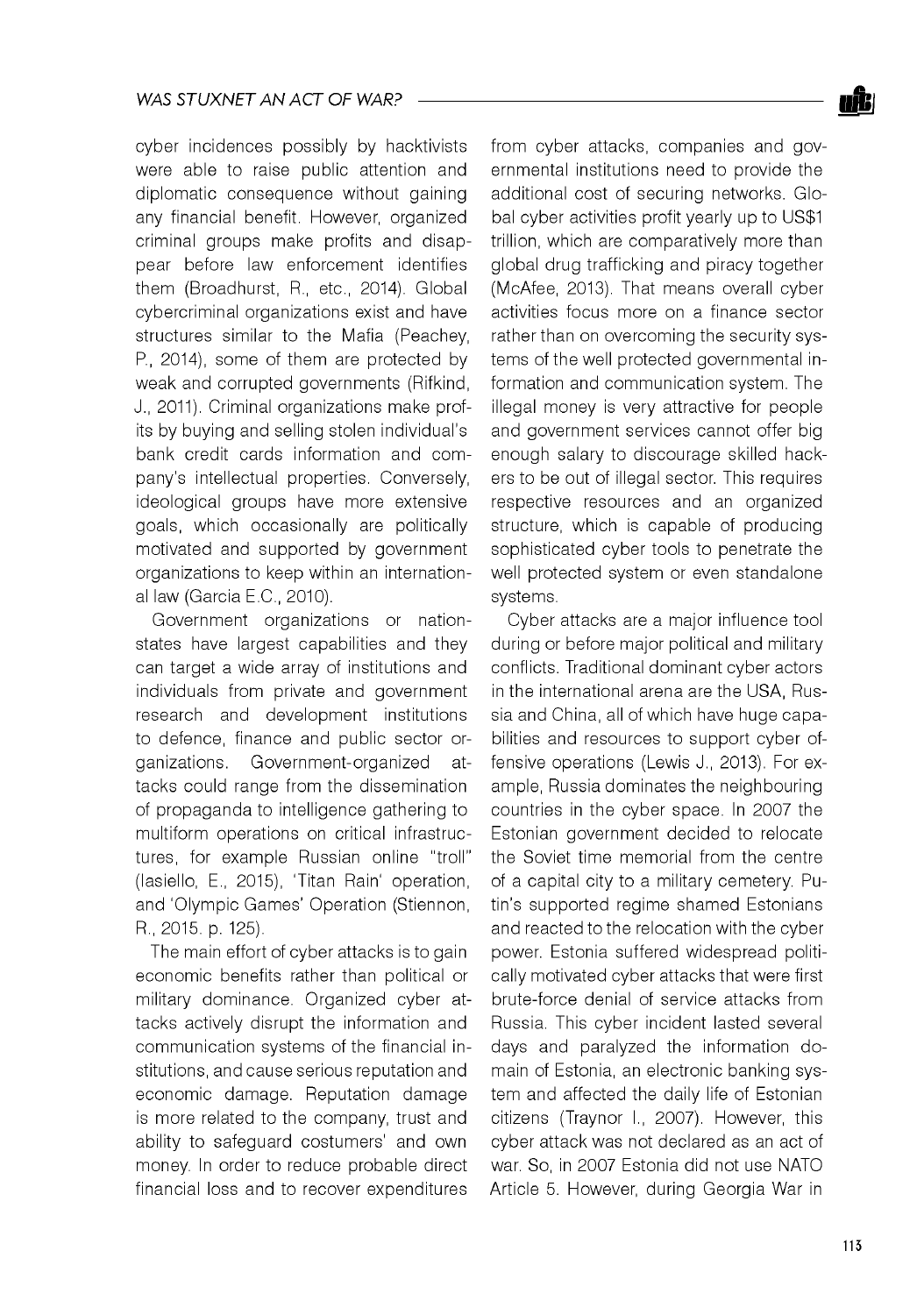cyber incidences possibly by hacktivists were able to raise public attention and diplomatic consequence without gaining any financial benefit. However, organized criminal groups make profits and disappear before law enforcement identifies them (Broadhurst, R., etc., 2014). Global cybercriminal organizations exist and have structures similar to the Mafia (Peachey, P., 2014), some of them are protected by weak and corrupted governments (Rifkind, J., 2011). Criminal organizations make profits by buying and selling stolen individual's bank credit cards information and company's intellectual properties. Conversely, ideological groups have more extensive goals, which occasionally are politically motivated and supported by government organizations to keep within an international law (Garcia E.C., 2010).

Government organizations or nationstates have largest capabilities and they can target a wide array of institutions and individuals from private and government research and development institutions to defence, finance and public sector organizations. Government-organized attacks could range from the dissemination of propaganda to intelligence gathering to multiform operations on critical infrastructures, for example Russian online "troll" (Iasiello, E., 2015), 'Titan Rain' operation, and 'Olympic Games' Operation (Stiennon, R., 2015. p. 125).

The main effort of cyber attacks is to gain economic benefits rather than political or military dominance. Organized cyber attacks actively disrupt the information and communication systems of the financial institutions, and cause serious reputation and economic damage. Reputation damage is more related to the company, trust and ability to safeguard costumers' and own money. In order to reduce probable direct financial loss and to recover expenditures

from cyber attacks, companies and governmental institutions need to provide the additional cost of securing networks. Global cyber activities profit yearly up to US\$1 trillion, which are comparatively more than global drug trafficking and piracy together (McAfee, 2013). That means overall cyber activities focus more on a finance sector rather than on overcoming the security systems of the well protected governmental information and communication system. The illegal money is very attractive for people and government services cannot offer big enough salary to discourage skilled hackers to be out of illegal sector. This requires respective resources and an organized structure, which is capable of producing sophisticated cyber tools to penetrate the well protected system or even standalone systems.

Cyber attacks are a major influence tool during or before major political and military conflicts. Traditional dominant cyber actors in the international arena are the USA, Russia and China, all of which have huge capabilities and resources to support cyber offensive operations (Lewis J., 2013). For example, Russia dominates the neighbouring countries in the cyber space. In 2007 the Estonian government decided to relocate the Soviet time memorial from the centre of a capital city to a military cemetery. Putin's supported regime shamed Estonians and reacted to the relocation with the cyber power. Estonia suffered widespread politically motivated cyber attacks that were first brute-force denial of service attacks from Russia. This cyber incident lasted several days and paralyzed the information domain of Estonia, an electronic banking system and affected the daily life of Estonian citizens (Traynor I., 2007). However, this cyber attack was not declared as an act of war. So, in 2007 Estonia did not use NATO Article 5. However, during Georgia War in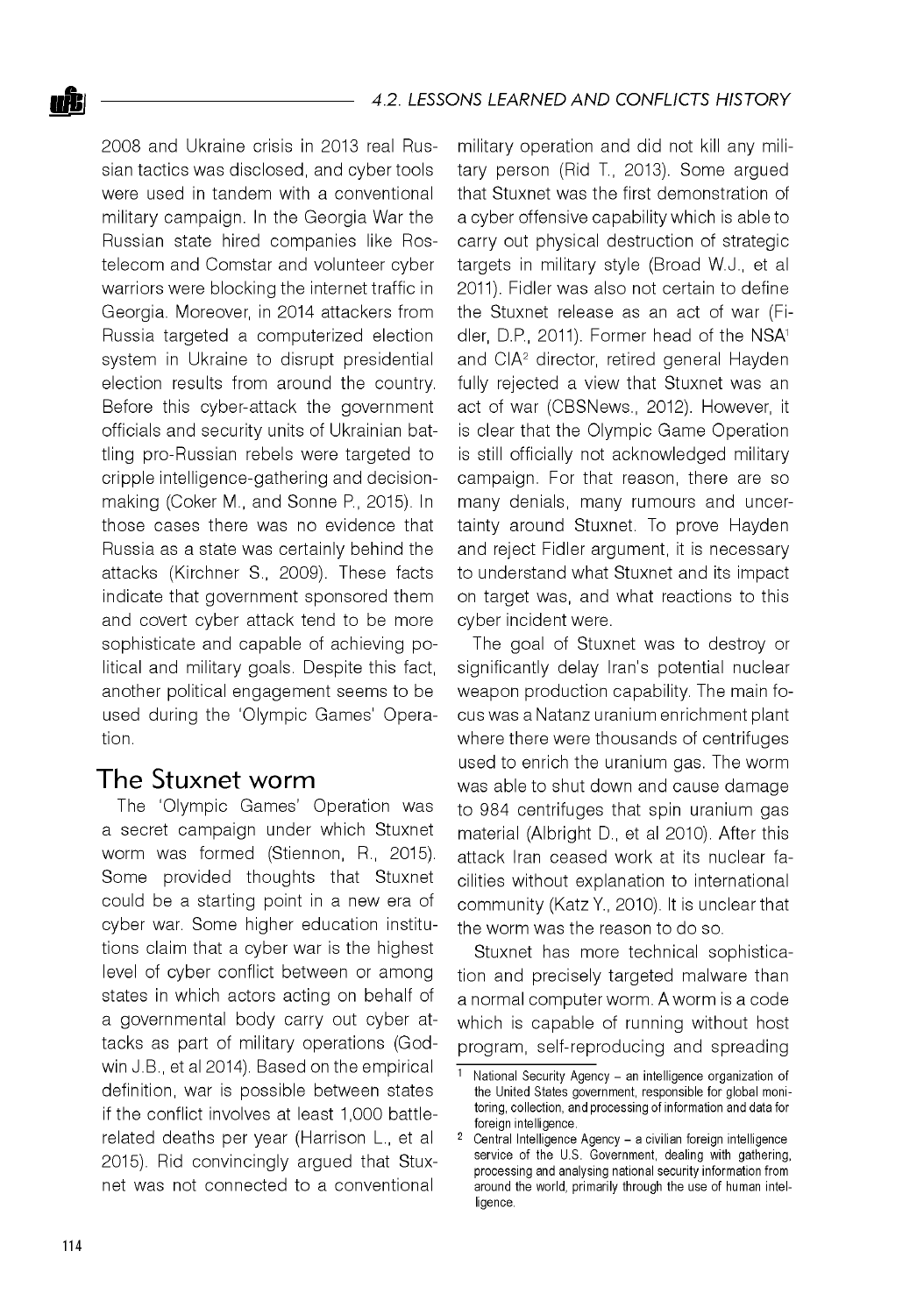2008 and Ukraine crisis in 2013 real Russian tactics was disclosed, and cyber tools were used in tandem with a conventional military campaign. In the Georgia War the Russian state hired companies like Rostelecom and Comstar and volunteer cyber warriors were blocking the internet traffic in Georgia. Moreover, in 2014 attackers from Russia targeted a computerized election system in Ukraine to disrupt presidential election results from around the country. Before this cyber-attack the government officials and security units of Ukrainian battling pro-Russian rebels were targeted to cripple intelligence-gathering and decisionmaking (Coker M., and Sonne P., 2015). In those cases there was no evidence that Russia as a state was certainly behind the attacks (Kirchner S., 2009). These facts indicate that government sponsored them and covert cyber attack tend to be more sophisticate and capable of achieving political and military goals. Despite this fact, another political engagement seems to be used during the 'Olympic Games' Operation.

## The Stuxnet worm

The 'Olympic Games' Operation was a secret campaign under which Stuxnet worm was formed (Stiennon, R., 2015). Some provided thoughts that Stuxnet could be a starting point in a new era of cyber war. Some higher education institutions claim that a cyber war is the highest level of cyber conflict between or among states in which actors acting on behalf of a governmental body carry out cyber attacks as part of military operations (Godwin J.B., et al 2014). Based on the empirical definition, war is possible between states if the conflict involves at least 1,000 battlerelated deaths per year (Harrison L., et al 2015). Rid convincingly argued that Stuxnet was not connected to a conventional

military operation and did not kill any military person (Rid T., 2013). Some argued that Stuxnet was the first demonstration of a cyber offensive capability which is able to carry out physical destruction of strategic targets in military style (Broad W.J., et al 2011). Fidler was also not certain to define the Stuxnet release as an act of war (Fidler, D.P., 2011). Former head of the NSA1 and CIA2 director, retired general Hayden fully rejected a view that Stuxnet was an act of war (CBSNews., 2012). However, it is clear that the Olympic Game Operation is still officially not acknowledged military campaign. For that reason, there are so many denials, many rumours and uncertainty around Stuxnet. To prove Hayden and reject Fidler argument, it is necessary to understand what Stuxnet and its impact on target was, and what reactions to this cyber incident were.

The goal of Stuxnet was to destroy or significantly delay Iran's potential nuclear weapon production capability. The main focus was a Natanz uranium enrichment plant where there were thousands of centrifuges used to enrich the uranium gas. The worm was able to shut down and cause damage to 984 centrifuges that spin uranium gas material (Albright D., et al 2010). After this attack Iran ceased work at its nuclear facilities without explanation to international community (Katz Y., 2010). It is unclear that the worm was the reason to do so.

Stuxnet has more technical sophistication and precisely targeted malware than a normal computer worm. A worm is a code which is capable of running without host program, self-reproducing and spreading

 $\frac{1}{1}$  National Security Agency - an intelligence organization of the United States government, responsible for global monitoring, collection, and processing of information and data for foreign intelligence.

Central Intelligence Agency - a civilian foreign intelligence service of the U.S. Government, dealing with gathering, processing and analysing national security information from around the world, primarily through the use of human intelligence.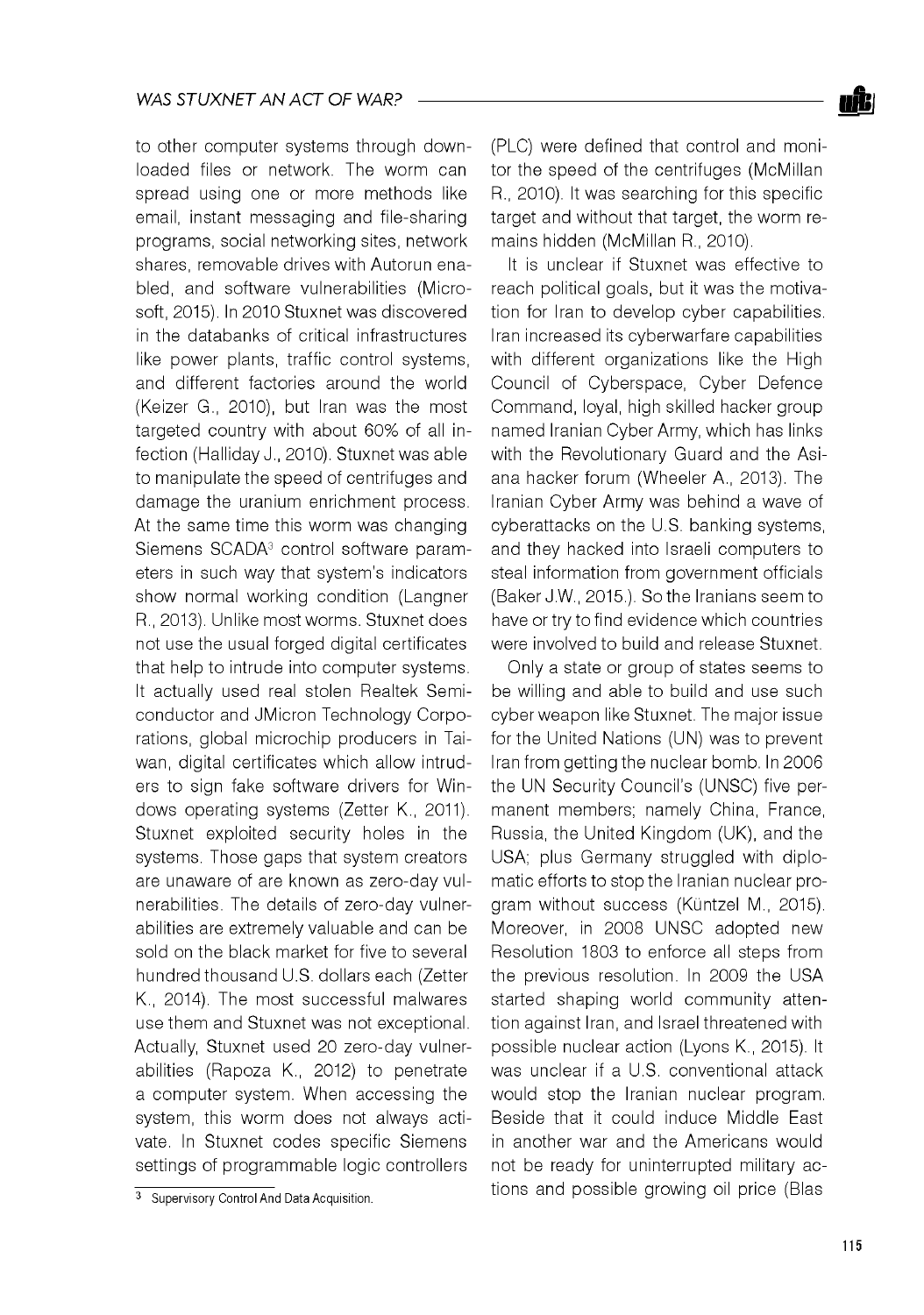to other computer systems through downloaded files or network. The worm can spread using one or more methods like email, instant messaging and file-sharing programs, social networking sites, network shares, removable drives with Autorun enabled, and software vulnerabilities (Microsoft, 2015). In 2010 Stuxnet was discovered in the databanks of critical infrastructures like power plants, traffic control systems, and different factories around the world (Keizer G., 2010), but Iran was the most targeted country with about 60% of all infection (Halliday J., 2010). Stuxnet was able to manipulate the speed of centrifuges and damage the uranium enrichment process. At the same time this worm was changing Siemens SCADA<sup>3</sup> control software parameters in such way that system's indicators show normal working condition (Langner R., 2013). Unlike most worms. Stuxnet does not use the usual forged digital certificates that help to intrude into computer systems. It actually used real stolen Realtek Semiconductor and JMicron Technology Corporations, global microchip producers in Taiwan, digital certificates which allow intruders to sign fake software drivers for Windows operating systems (Zetter K., 2011). Stuxnet exploited security holes in the systems. Those gaps that system creators are unaware of are known as zero-day vulnerabilities. The details of zero-day vulnerabilities are extremely valuable and can be sold on the black market for five to several hundred thousand U.S. dollars each (Zetter K., 2014). The most successful malwares use them and Stuxnet was not exceptional. Actually, Stuxnet used 20 zero-day vulnerabilities (Rapoza K., 2012) to penetrate a computer system. When accessing the system, this worm does not always activate. In Stuxnet codes specific Siemens settings of programmable logic controllers

(PLC) were defined that control and monitor the speed of the centrifuges (McMillan R., 2010). It was searching for this specific target and without that target, the worm remains hidden (McMillan R., 2010).

It is unclear if Stuxnet was effective to reach political goals, but it was the motivation for Iran to develop cyber capabilities. Iran increased its cyberwarfare capabilities with different organizations like the High Council of Cyberspace, Cyber Defence Command, loyal, high skilled hacker group named Iranian Cyber Army, which has links with the Revolutionary Guard and the Asiana hacker forum (Wheeler A., 2013). The Iranian Cyber Army was behind a wave of cyberattacks on the U.S. banking systems, and they hacked into Israeli computers to steal information from government officials (Baker J.W., 2015.). So the Iranians seem to have or try to find evidence which countries were involved to build and release Stuxnet.

Only a state or group of states seems to be willing and able to build and use such cyber weapon like Stuxnet. The major issue for the United Nations (UN) was to prevent Iran from getting the nuclear bomb. In 2006 the UN Security Council's (UNSC) five permanent members; namely China, France, Russia, the United Kingdom (UK), and the USA; plus Germany struggled with diplomatic efforts to stop the Iranian nuclear program without success (Küntzel M., 2015). Moreover, in 2008 UNSC adopted new Resolution 1803 to enforce all steps from the previous resolution. In 2009 the USA started shaping world community attention against Iran, and Israel threatened with possible nuclear action (Lyons K., 2015). It was unclear if a U.S. conventional attack would stop the Iranian nuclear program. Beside that it could induce Middle East in another war and the Americans would not be ready for uninterrupted military actions and possible growing oil price (Blas

 $\overline{3}$  Supervisory Control And Data Acquisition.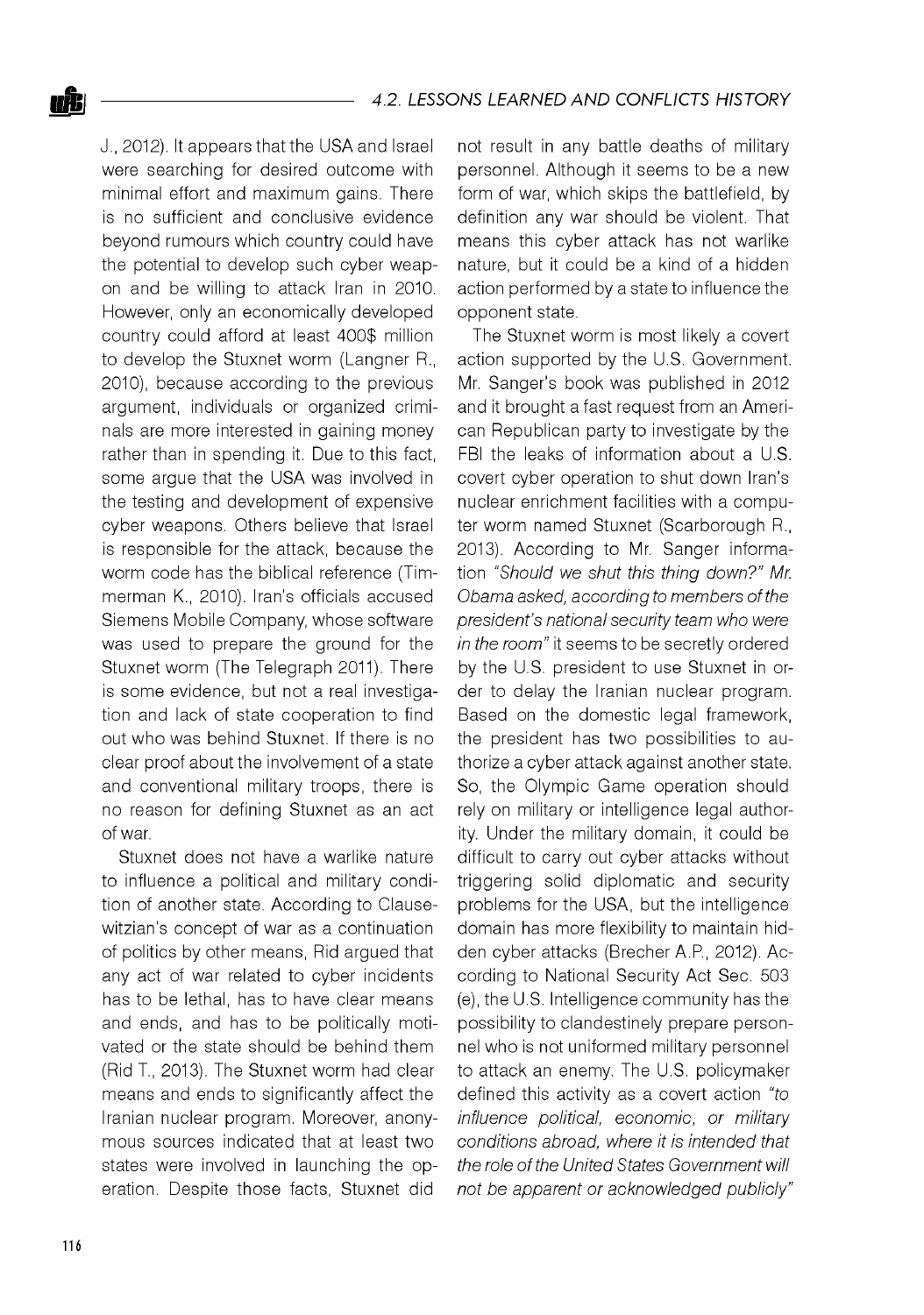J., 2012). It appears that the USA and Israel were searching for desired outcome with minimal effort and maximum gains. There is no sufficient and conclusive evidence beyond rumours which country could have the potential to develop such cyber weapon and be willing to attack Iran in 2010. However, only an economically developed country could afford at least 400\$ million to develop the Stuxnet worm (Langner R., 2010), because according to the previous argument, individuals or organized criminals are more interested in gaining money rather than in spending it. Due to this fact, some argue that the USA was involved in the testing and development of expensive cyber weapons. Others believe that Israel is responsible for the attack, because the worm code has the biblical reference (Timmerman K., 2010). Iran's officials accused Siemens Mobile Company, whose software was used to prepare the ground for the Stuxnet worm (The Telegraph 2011). There is some evidence, but not a real investigation and lack of state cooperation to find out who was behind Stuxnet. If there is no clear proof about the involvement of a state and conventional military troops, there is no reason for defining Stuxnet as an act of war.

Stuxnet does not have a warlike nature to influence a political and military condition of another state. According to Clausewitzian's concept of war as a continuation of politics by other means, Rid argued that any act of war related to cyber incidents has to be lethal, has to have clear means and ends, and has to be politically motivated or the state should be behind them (Rid T., 2013). The Stuxnet worm had clear means and ends to significantly affect the Iranian nuclear program. Moreover, anonymous sources indicated that at least two states were involved in launching the operation. Despite those facts, Stuxnet did

not result in any battle deaths of military personnel. Although it seems to be a new form of war, which skips the battlefield, by definition any war should be violent. That means this cyber attack has not warlike nature, but it could be a kind of a hidden action performed by a state to influence the opponent state.

The Stuxnet worm is most likely a covert action supported by the U.S. Government. Mr. Sanger's book was published in 2012 and it brought a fast request from an American Republican party to investigate by the FBI the leaks of information about a U.S. covert cyber operation to shut down Iran's nuclear enrichment facilities with a computer worm named Stuxnet (Scarborough R., 2013). According to Mr. Sanger information "*Should we shut this thing down?" Mr. Obama asked, according to members of the president's national security team who were in the room"* it seems to be secretly ordered by the U.S. president to use Stuxnet in order to delay the Iranian nuclear program. Based on the domestic legal framework, the president has two possibilities to authorize a cyber attack against another state. So, the Olympic Game operation should rely on military or intelligence legal authority. Under the military domain, it could be difficult to carry out cyber attacks without triggering solid diplomatic and security problems for the USA, but the intelligence domain has more flexibility to maintain hidden cyber attacks (Brecher A.P., 2012). According to National Security Act Sec. 503 (e), the U.S. Intelligence community has the possibility to clandestinely prepare personnel who is not uniformed military personnel to attack an enemy. The U.S. policymaker defined this activity as a covert action *"to influence political, economic, or military conditions abroad, where it is intended that the role of the United States Government will not be apparent or acknowledged publicly"*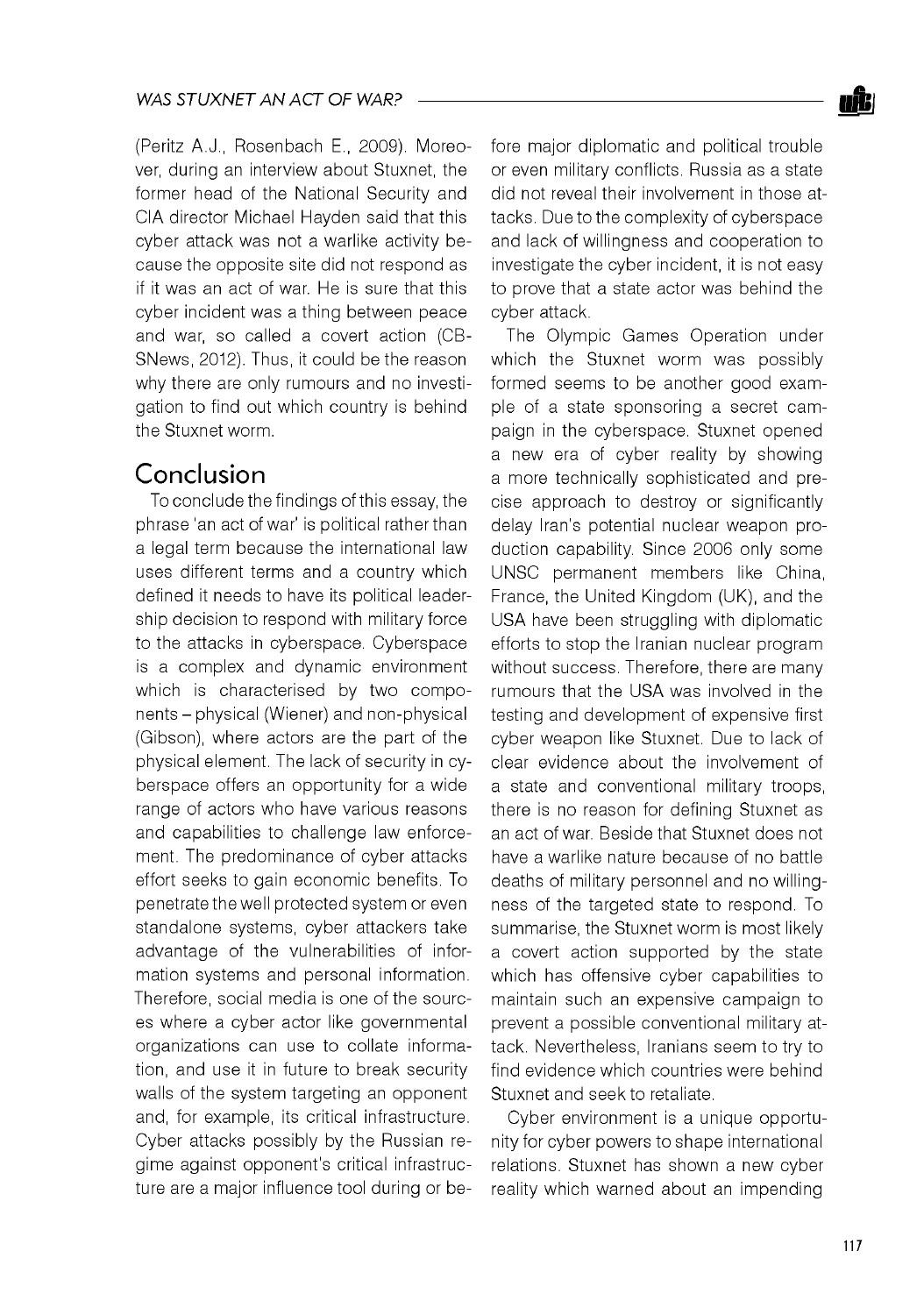(Peritz A.J., Rosenbach E., 2009). Moreover, during an interview about Stuxnet, the former head of the National Security and CIA director Michael Hayden said that this cyber attack was not a warlike activity because the opposite site did not respond as if it was an act of war. He is sure that this cyber incident was a thing between peace and war, so called a covert action (CB-SNews, 2012). Thus, it could be the reason why there are only rumours and no investigation to find out which country is behind the Stuxnet worm.

## Conclusion

To conclude the findings of this essay, the phrase 'an act of war' is political rather than a legal term because the international law uses different terms and a country which defined it needs to have its political leadership decision to respond with military force to the attacks in cyberspace. Cyberspace is a complex and dynamic environment which is characterised by two components - physical (Wiener) and non-physical (Gibson), where actors are the part of the physical element. The lack of security in cyberspace offers an opportunity for a wide range of actors who have various reasons and capabilities to challenge law enforcement. The predominance of cyber attacks effort seeks to gain economic benefits. To penetrate the well protected system or even standalone systems, cyber attackers take advantage of the vulnerabilities of information systems and personal information. Therefore, social media is one of the sources where a cyber actor like governmental organizations can use to collate information, and use it in future to break security walls of the system targeting an opponent and, for example, its critical infrastructure. Cyber attacks possibly by the Russian regime against opponent's critical infrastructure are a major influence tool during or before major diplomatic and political trouble or even military conflicts. Russia as a state did not reveal their involvement in those attacks. Due to the complexity of cyberspace and lack of willingness and cooperation to investigate the cyber incident, it is not easy to prove that a state actor was behind the cyber attack.

The Olympic Games Operation under which the Stuxnet worm was possibly formed seems to be another good example of a state sponsoring a secret campaign in the cyberspace. Stuxnet opened a new era of cyber reality by showing a more technically sophisticated and precise approach to destroy or significantly delay Iran's potential nuclear weapon production capability. Since 2006 only some UNSC permanent members like China, France, the United Kingdom (UK), and the USA have been struggling with diplomatic efforts to stop the Iranian nuclear program without success. Therefore, there are many rumours that the USA was involved in the testing and development of expensive first cyber weapon like Stuxnet. Due to lack of clear evidence about the involvement of a state and conventional military troops, there is no reason for defining Stuxnet as an act of war. Beside that Stuxnet does not have a warlike nature because of no battle deaths of military personnel and no willingness of the targeted state to respond. To summarise, the Stuxnet worm is most likely a covert action supported by the state which has offensive cyber capabilities to maintain such an expensive campaign to prevent a possible conventional military attack. Nevertheless, Iranians seem to try to find evidence which countries were behind Stuxnet and seek to retaliate.

Cyber environment is a unique opportunity for cyber powers to shape international relations. Stuxnet has shown a new cyber reality which warned about an impending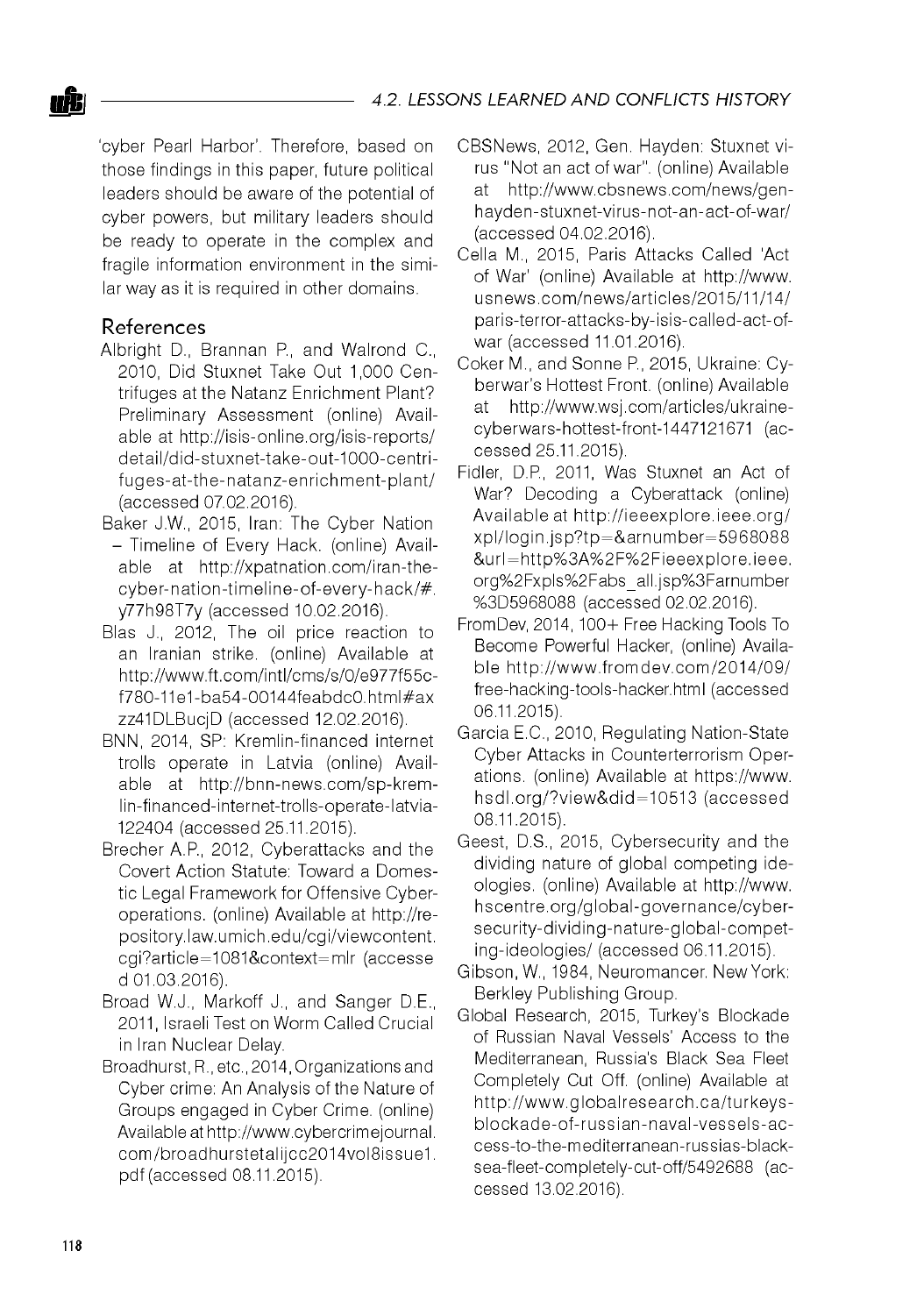'cyber Pearl Harbor'. Therefore, based on those findings in this paper, future political leaders should be aware of the potential of cyber powers, but military leaders should be ready to operate in the complex and fragile information environment in the similar way as it is required in other domains.

#### References

- Albright D., Brannan P., and Walrond C., 2010, Did Stuxnet Take Out 1,000 Centrifuges at the Natanz Enrichment Plant? Preliminary Assessment (online) Available at <http://isis-online.org/isis-reports/> detail/did-stuxnet-take-out-1000-centrifuges-at-the-natanz-enrichment-plant/ (accessed 07.02.2016).
- Baker J.W., 2015, Iran: The Cyber Nation - Timeline of Every Hack. (online) Available at [http://xpatnation.com/iran-the](http://xpatnation.com/iran-the-)cyber-nation-timeline-of-every-hack/#. y77h98T7y (accessed 10.02.2016).
- Blas J., 2012, The oil price reaction to an Iranian strike. (online) Available at [http://www.ft.com/intl/cms/s/0/e977f55c](http://www.ft.com/intl/cms/s/0/e977f55c-)f780-11e1-ba54-00144feabdc0.html#ax zz41DLBucjD (accessed 12.02.2016).
- BNN, 2014, SP: Kremlin-financed internet trolls operate in Latvia (online) Available at [http://bnn-news.com/sp-krem](http://bnn-news.com/sp-krem-)lin-financed-internet-trolls-operate-latvia-122404 (accessed 25.11.2015).
- Brecher A.P., 2012, Cyberattacks and the Covert Action Statute: Toward a Domestic Legal Framework for Offensive Cyberoperations. (online) Available at [http://re](http://re-)pository.law.umich.edu/cgi/viewcontent. cgi?article=1081&context=mlr (accesse d 01.03.2016).
- Broad W.J., Markoff J., and Sanger D.E., 2011, Israeli Test on Worm Called Crucial in Iran Nuclear Delay.
- Broadhurst, R., etc., 2014, Organizations and Cyber crime: An Analysis of the Nature of Groups engaged in Cyber Crime. (online) Available at [http://www.cybercrimejournal.](http://www.cybercrimejournal) com/broadhurstetalijcc2014vol8issue1. pdf (accessed 08.11.2015).
- CBSNews, 2012, Gen. Hayden: Stuxnet virus "Not an act of war". (online) Available<br>at on the Wwww chanews com/news/gen[http://www.cbsnews.com/news/gen](http://www.cbsnews.com/news/gen-)hayden-stuxnet-virus-not-an-act-of-war/ (accessed 04.02.2016).
- Cella M., 2015, Paris Attacks Called 'Act of War' (online) Available at [http://www.](http://www) usnews.com/news/articles/2015/11/14/ paris-terror-attacks-by-isis-called-act-ofwar (accessed 11.01.2016).
- Coker M., and Sonne P, 2015, Ukraine: Cyberwar's Hottest Front. (online) Available at [http://www.wsj.com/articles/ukraine](http://www.wsj.com/articles/ukraine-)cyberwars-hottest-front-1447121671 (accessed 25.11.2015).
- Fidler, D.P., 2011, Was Stuxnet an Act of War? Decoding a Cyberattack (online) Available at <http://ieeexplore.ieee.org/> xpl/login.jsp?tp=&arnum ber=5968088 &url = http%3A%2F%2Fieeexplore.ieee. org%2Fxpls%2Fabs\_all.jsp%3Farnumber %3D5968088 (accessed 02.02.2016).
- FromDev, 2014, 100+ Free Hacking Tools To Become Powerful Hacker, (online) Available http://www.fromdev.com/2014/09/ free-hacking-tools-hacker.html (accessed 06.11.2015).
- Garcia E.C., 2010, Regulating Nation-State Cyber Attacks in Counterterrorism Operations. (online) Available at [https://www.](https://www) hsdl.org/?view &did = 10513 (accessed 08.11.2015).
- Geest, D.S., 2015, Cybersecurity and the dividing nature of global competing ideologies. (online) Available at [http://www.](http://www) hscentre.org/global-governance/cybersecurity-dividing-nature-global-competing-ideologies/ (accessed 06.11.2015).
- Gibson, W., 1984, Neuromancer. New York: Berkley Publishing Group.
- Global Research, 2015, Turkey's Blockade of Russian Naval Vessels' Access to the Mediterranean, Russia's Black Sea Fleet Completely Cut Off. (online) Available at http://www.qlobalresearch.ca/turkeysblockade-of-russian-naval-vessels-ac cess-to-the-mediterranean-russias-blacksea-fleet-completely-cut-off/5492688 (accessed 13.02.2016).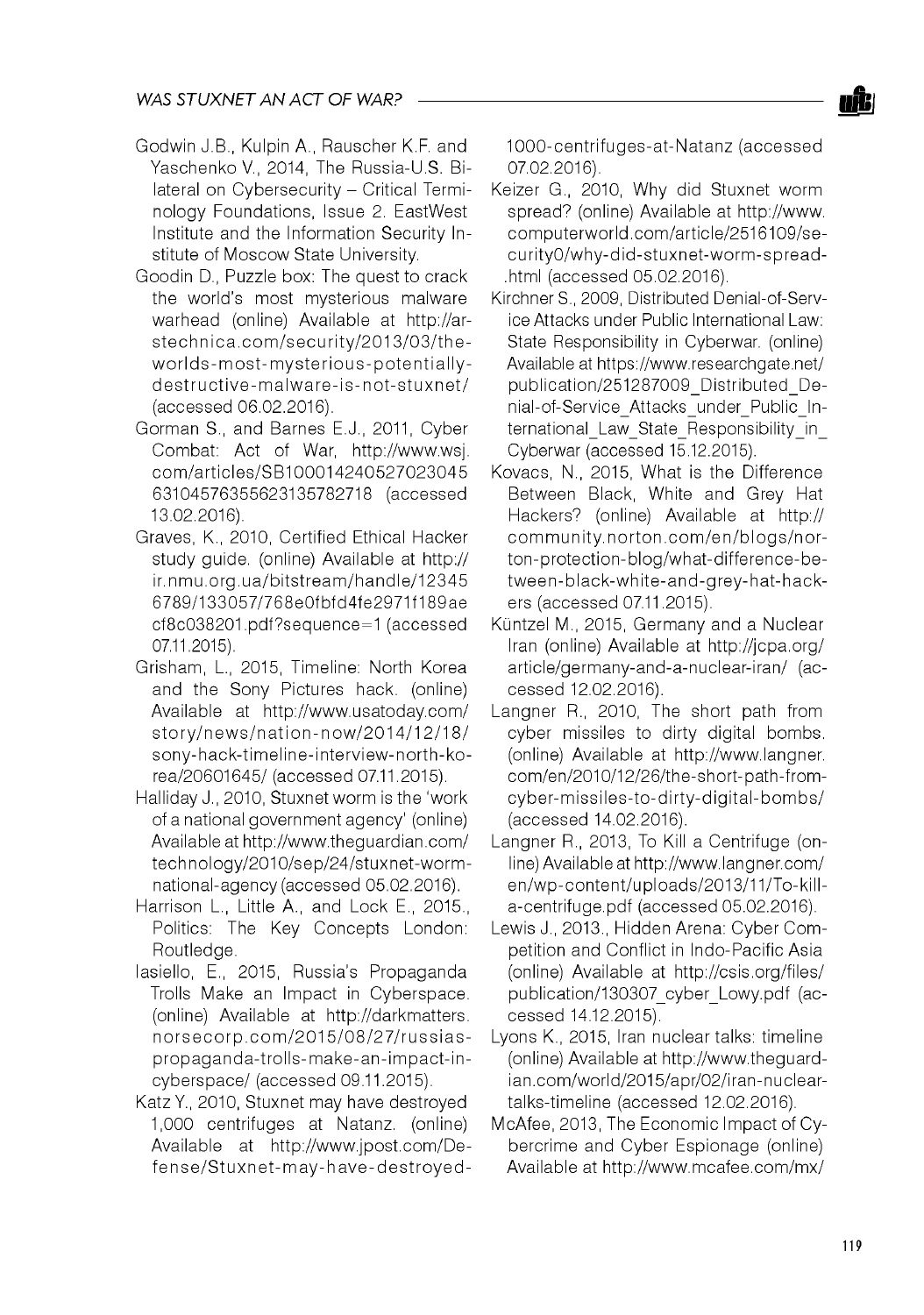- Godwin J.B., Kulpin A., Rauscher K.F. and Yaschenko V., 2014, The Russia-U.S. Bilateral on Cybersecurity - Critical Terminology Foundations, Issue 2. EastWest Institute and the Information Security Institute of Moscow State University.
- Goodin D., Puzzle box: The quest to crack the world's most mysterious malware warhead (online) Available at [http://ar](http://ar-)stechnica.com/security/2013/03/theworlds-most-mysterious-potentiallydestructive-malware-is-not-stuxnet/ (accessed 06.02.2016).
- Gorman S., and Barnes E.J., 2011, Cyber Combat: Act of War, [http://www.wsj.](http://www.wsj) com /articles/SB100014240527023045 63104576355623135782718 (accessed 13.02.2016).
- Graves, K., 2010, Certified Ethical Hacker study guide. (online) Available at http:// ir.nm u.org.ua/bitstream /handle/12345 6789/133057/768e0fbfd4fe2971f189ae cf8c038201 .pdf?sequence=1 (accessed 07.11.2015).
- Grisham, L., 2015, Timeline: North Korea and the Sony Pictures hack. (online) Available at <http://www.usatoday.com/> story/news/nation-now/2014/12/18/ sony-hack-timeline-interview-north-korea/20601645/ (accessed 07.11.2015).
- Halliday J., 2010, Stuxnet worm is the 'work of a national government agency' (online) Available at <http://www.theguardian.com/> technology/2010/sep/24/stuxnet-worm national-agency (accessed 05.02.2016).
- Harrison L., Little A., and Lock E., 2015., Politics: The Key Concepts London: Routledge.
- Iasiello, E., 2015, Russia's Propaganda Trolls Make an Impact in Cyberspace. (online) Available at [http://darkmatters.](http://darkmatters) norsecorp.com/2015/08/27/russiaspropaganda-trolls-make-an-impact-incyberspace/ (accessed 09.11.2015).
- Katz Y., 2010, Stuxnet may have destroyed 1,000 centrifuges at Natanz. (online) Available at [http://www.jpost.com/De](http://www.jpost.com/De-)fense/Stuxnet-may-have-destroyed-

1000-centrifuges-at-Natanz (accessed 07.02.2016).

- Keizer G., 2010, Why did Stuxnet worm spread? (online) Available at [http://www.](http://www) computerworld.com/article/2516109/se curity0/w hy-did-stuxnet-w orm -spread- .html (accessed 05.02.2016).
- Kirchner S., 2009, Distributed Denial-of-Service Attacks under Public International Law: State Responsibility in Cyberwar. (online) Available at https://www.researchgate.net/ publication/251287009\_Distributed\_Denial-of-Service Attacks under Public International\_Law\_State\_Responsibility\_in\_ Cyberwar (accessed 15.12.2015).
- Kovacs, N., 2015, What is the Difference Between Black, White and Grey Hat Hackers? (online) Available at http:// community.norton.com/en/blogs/norton-protection-blog/what-difference-between-black-white-and-grey-hat-hackers (accessed 07.11.2015).
- Küntzel M., 2015, Germany and a Nuclear Iran (online) Available at <http://jcpa.org/> article/germany-and-a-nuclear-iran/ (accessed 12.02.2016).
- Langner R., 2010, The short path from cyber missiles to dirty digital bombs. (online) Available at [http://www.langner.](http://www.langner) com/en/2010/12/26/the-short-path-fromcyber-missiles-to-dirty-digital-bombs/ (accessed 14.02.2016).
- Langner R., 2013, To Kill a Centrifuge (online) Available at<http://www.langner.com/> en/wp-content/uploads/2013/11/To-killa-centrifuge.pdf (accessed 05.02.2016).
- Lewis J., 2013., Hidden Arena: Cyber Competition and Conflict in Indo-Pacific Asia (online) Available at <http://csis.org/files/> publication/130307\_cyber\_Lowy.pdf (accessed 14.12.2015).
- Lyons K., 2015, Iran nuclear talks: timeline (online) Available at [http://www.theguard](http://www.theguard-)ian.com/world/2015/apr/02/iran-nucleartalks-timeline (accessed 12.02.2016).
- McAfee, 2013, The Economic Impact of Cybercrime and Cyber Espionage (online) Available at <http://www.mcafee.com/mx/>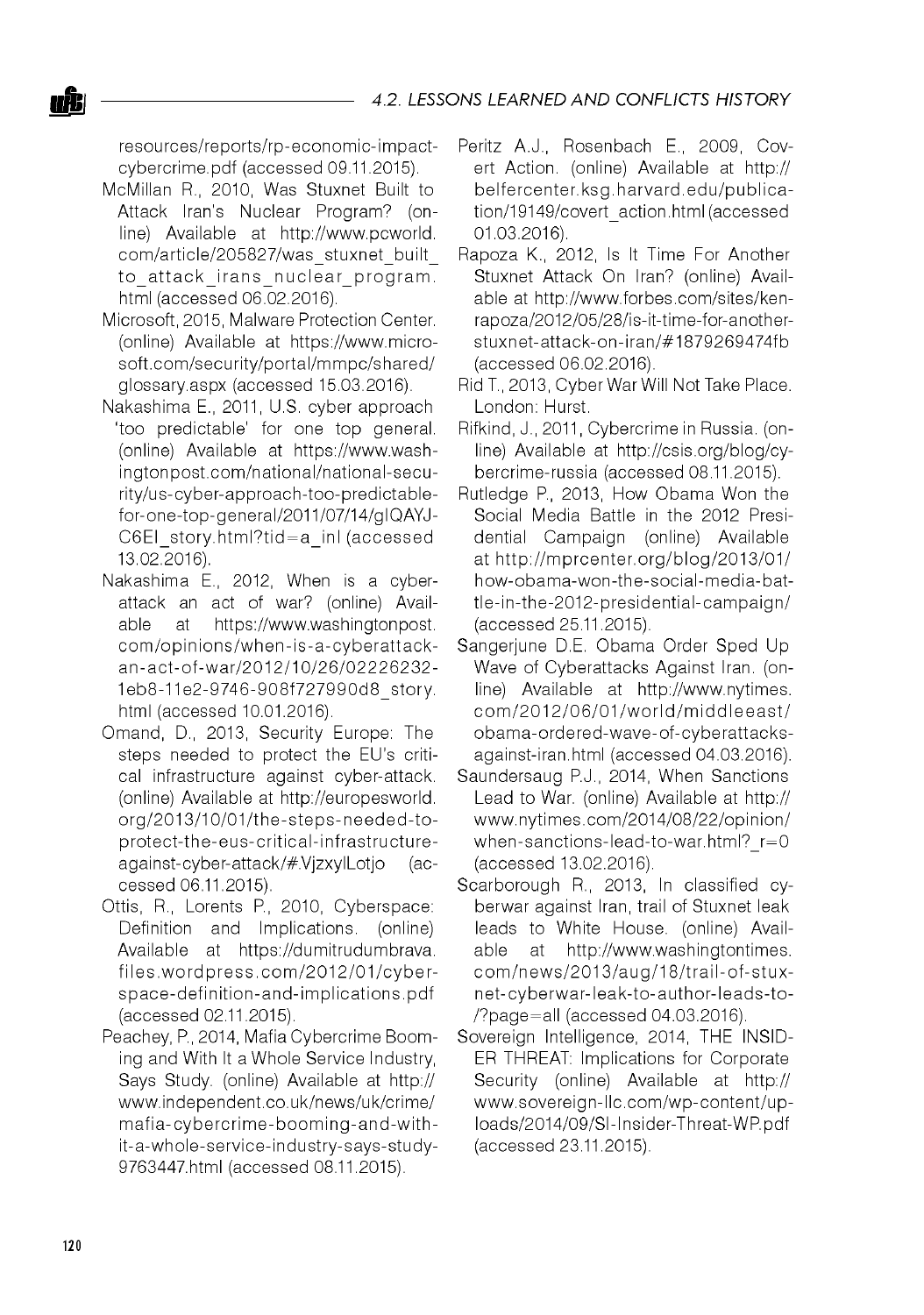resources/reports/rp-economic-impactcybercrime.pdf (accessed 09.11.2015).

- McMillan R., 2010, Was Stuxnet Built to Attack Iran's Nuclear Program? (online) Available at [http://www.pcworld.](http://www.pcworld) com/article/205827/was\_stuxnet\_built to attack irans nuclear program. html (accessed 06.02.2016).
- Microsoft, 2015, Malware Protection Center. (online) Available at [https://www.micro](https://www.micro-)soft.com/security/portal/mmpc/shared/ glossary.aspx (accessed 15.03.2016).
- Nakashima E., 2011, U.S. cyber approach 'too predictable' for one top general. (online) Available at [https://www.wash](https://www.wash-)ingtonpost.com /national/national-security/us-cyber-approach-too-predictablefor-one-top-general/2011/07/14/gIQAYJ-C6EI\_story.html?tid=a\_inl (accessed 13.02.2016).
- Nakashima E., 2012, When is a cyberattack an act of war? (online) Available at [https://www.washingtonpost.](https://www.washingtonpost) com/opinions/when-is-a-cyberattacka n-act-of-w ar/2012/10/26/02226232- 1eb8-11e2-9746-908f727990d8\_story. html (accessed 10.01.2016).
- Omand, D., 2013, Security Europe: The steps needed to protect the EU's critical infrastructure against cyber-attack. (online) Available at [http://europesworld.](http://europesworld) org/2013/10/01/the-steps-needed-toprotect-the-eus-critical-infrastructureagainst-cyber-attack/#.VjzxylLotjo (accessed 06.11.2015).
- Ottis, R., Lorents P., 2010, Cyberspace: Definition and Implications. (online) Available at [https://dumitrudumbrava.](https://dumitrudumbrava) files.wordpress.com/2012/01/cyberspace-definition-and-im plications.pdf (accessed 02.11.2015).
- Peachey, P., 2014, Mafia Cybercrime Booming and With It a Whole Service Industry, Says Study. (online) Available at http:// [www.independent.co.uk/news/uk/crime/](http://www.independent.co.uk/news/uk/crime/)  mafia-cybercrime-booming-and-withit-a-whole-service-industry-says-study-9763447.html (accessed 08.11.2015).
- Peritz A.J., Rosenbach E., 2009, Covert Action. (online) Available at http:// belfercenter.ksg.harvard.edu/publica tion/19149/covert\_action.html (accessed 01.03.2016).
- Rapoza K., 2012, Is It Time For Another Stuxnet Attack On Iran? (online) Available at [http://www.forbes.com/sites/ken](http://www.forbes.com/sites/ken-)rapoza/2012/05/28/is-it-time-for-anotherstuxnet-attack-on-iran/#1879269474fb (accessed 06.02.2016).
- Rid T., 2013, Cyber War Will Not Take Place. London: Hurst.
- Rifkind, J., 2011, Cybercrime in Russia. (online) Available at [http://csis.org/blog/cy](http://csis.org/blog/cy-)bercrime-russia (accessed 08.11.2015).
- Rutledge P., 2013, How Obama Won the Social Media Battle in the 2012 Presidential Campaign (online) Available at [http://m prcenter.org/blog/2013/01/](http://mprcenter.org/blog/2013/01/)  how-obama-won-the-social-media-battle-in-the-2012-presidential-campaign/ (accessed 25.11.2015).
- Sangerjune D.E. Obama Order Sped Up Wave of Cyberattacks Against Iran. (online) Available at [http://www.nytimes.](http://www.nytimes) c o m /2 0 1 2 /0 6 /0 1 /w o rld /m id d le e a s t/ obama-ordered-wave-of-cyberattacksagainst-iran.html (accessed 04.03.2016).
- Saundersaug P.J., 2014, When Sanctions Lead to War. (online) Available at http:// [www.nytimes.com/2014/08/22/opinion/](http://www.nytimes.com/2014/08/22/opinion/)  when-sanctions-lead-to-war.html? r=0 (accessed 13.02.2016).
- Scarborough R., 2013, In classified cyberwar against Iran, trail of Stuxnet leak leads to White House. (online) Available at [http://www.washingtontimes.](http://www.washingtontimes) com/news/2013/aug/18/trail-of-stuxnet-cyberw ar-leak-to-author-leads-to- /?page=all (accessed 04.03.2016).
- Sovereign Intelligence, 2014, THE INSID-ER THREAT: Implications for Corporate Security (online) Available at http:// [w ww.sovereign-llc.com /wp-content/up](http://www.sovereign-llc.com/wp-content/up-)loads/2014/09/SI-Insider-Threat-WP.pdf (accessed 23.11.2015).